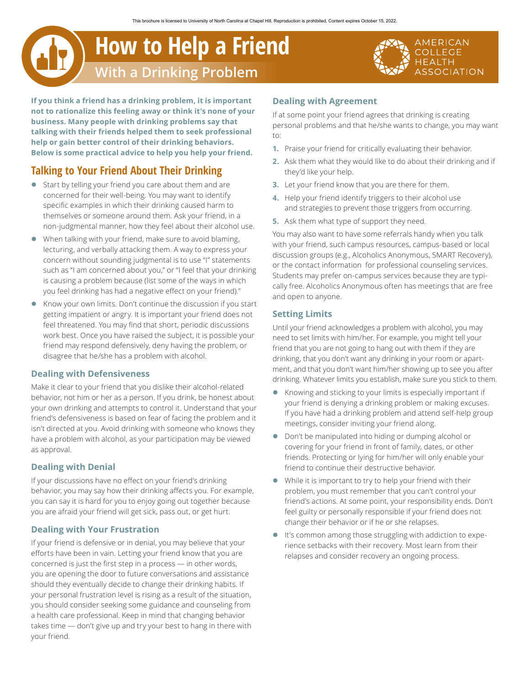# **How to Help a Friend With a Drinking Problem**

**If you think a friend has a drinking problem, it is important not to rationalize this feeling away or think it's none of your business. Many people with drinking problems say that talking with their friends helped them to seek professional help or gain better control of their drinking behaviors. Below is some practical advice to help you help your friend.**

# **Talking to Your Friend About Their Drinking**

- Start by telling your friend you care about them and are concerned for their well-being. You may want to identify specific examples in which their drinking caused harm to themselves or someone around them. Ask your friend, in a non-judgmental manner, how they feel about their alcohol use.
- $\bullet$  When talking with your friend, make sure to avoid blaming, lecturing, and verbally attacking them. A way to express your concern without sounding judgmental is to use "I" statements such as "I am concerned about you," or "I feel that your drinking is causing a problem because (list some of the ways in which you feel drinking has had a negative effect on your friend)."
- **Know your own limits. Don't continue the discussion if you start** getting impatient or angry. It is important your friend does not feel threatened. You may find that short, periodic discussions work best. Once you have raised the subject, it is possible your friend may respond defensively, deny having the problem, or disagree that he/she has a problem with alcohol.

## **Dealing with Defensiveness**

Make it clear to your friend that you dislike their alcohol-related behavior, not him or her as a person. If you drink, be honest about your own drinking and attempts to control it. Understand that your friend's defensiveness is based on fear of facing the problem and it isn't directed at you. Avoid drinking with someone who knows they have a problem with alcohol, as your participation may be viewed as approval.

# **Dealing with Denial**

If your discussions have no effect on your friend's drinking behavior, you may say how their drinking affects you. For example, you can say it is hard for you to enjoy going out together because you are afraid your friend will get sick, pass out, or get hurt.

# **Dealing with Your Frustration**

If your friend is defensive or in denial, you may believe that your efforts have been in vain. Letting your friend know that you are concerned is just the first step in a process — in other words, you are opening the door to future conversations and assistance should they eventually decide to change their drinking habits. If your personal frustration level is rising as a result of the situation, you should consider seeking some guidance and counseling from a health care professional. Keep in mind that changing behavior takes time — don't give up and try your best to hang in there with your friend.

## **Dealing with Agreement**

If at some point your friend agrees that drinking is creating personal problems and that he/she wants to change, you may want to:

- **1.** Praise your friend for critically evaluating their behavior.
- **2.** Ask them what they would like to do about their drinking and if they'd like your help.
- **3.** Let your friend know that you are there for them.
- **4.** Help your friend identify triggers to their alcohol use and strategies to prevent those triggers from occurring.
- **5.** Ask them what type of support they need.

You may also want to have some referrals handy when you talk with your friend, such campus resources, campus-based or local discussion groups (e.g., Alcoholics Anonymous, SMART Recovery), or the contact information for professional counseling services. Students may prefer on-campus services because they are typically free. Alcoholics Anonymous often has meetings that are free and open to anyone.

## **Setting Limits**

Until your friend acknowledges a problem with alcohol, you may need to set limits with him/her. For example, you might tell your friend that you are not going to hang out with them if they are drinking, that you don't want any drinking in your room or apartment, and that you don't want him/her showing up to see you after drinking. Whatever limits you establish, make sure you stick to them.

- Knowing and sticking to your limits is especially important if your friend is denying a drinking problem or making excuses. If you have had a drinking problem and attend self-help group meetings, consider inviting your friend along.
- **•** Don't be manipulated into hiding or dumping alcohol or covering for your friend in front of family, dates, or other friends. Protecting or lying for him/her will only enable your friend to continue their destructive behavior.
- While it is important to try to help your friend with their problem, you must remember that you can't control your friend's actions. At some point, your responsibility ends. Don't feel guilty or personally responsible if your friend does not change their behavior or if he or she relapses.
- It's common among those struggling with addiction to experience setbacks with their recovery. Most learn from their relapses and consider recovery an ongoing process.